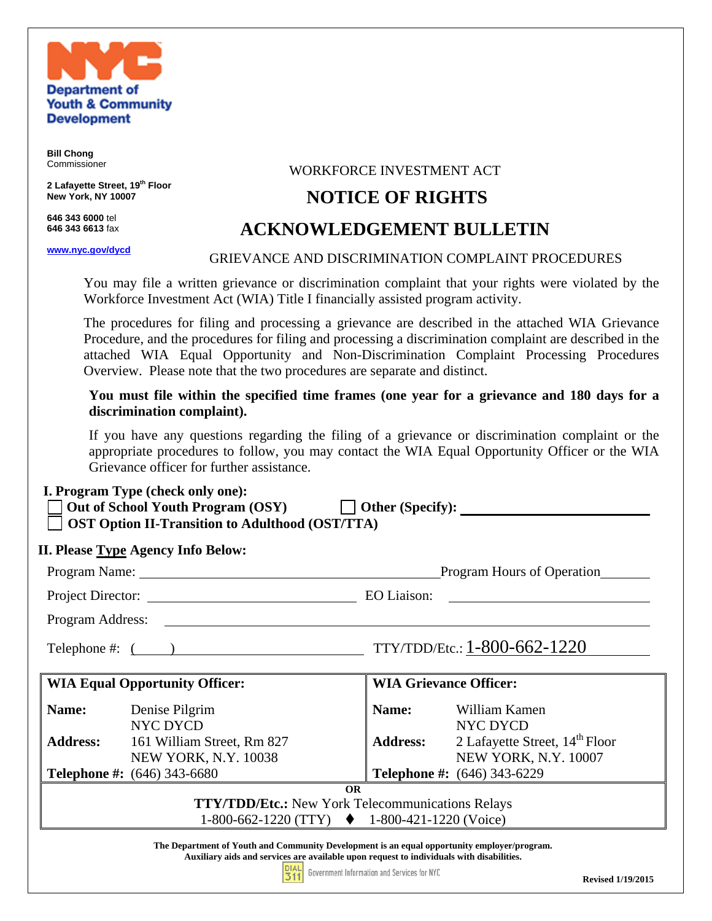

**Bill Chong**  Commissioner

**2 Lafayette Street, 19th Floor New York, NY 10007** 

**646 343 6000** tel **646 343 6613** fax

**www.nyc.gov/dycd**

### WORKFORCE INVESTMENT ACT

## **NOTICE OF RIGHTS**

# **ACKNOWLEDGEMENT BULLETIN**

### GRIEVANCE AND DISCRIMINATION COMPLAINT PROCEDURES

You may file a written grievance or discrimination complaint that your rights were violated by the Workforce Investment Act (WIA) Title I financially assisted program activity.

 The procedures for filing and processing a grievance are described in the attached WIA Grievance Procedure, and the procedures for filing and processing a discrimination complaint are described in the attached WIA Equal Opportunity and Non-Discrimination Complaint Processing Procedures Overview. Please note that the two procedures are separate and distinct.

**You must file within the specified time frames (one year for a grievance and 180 days for a discrimination complaint).** 

If you have any questions regarding the filing of a grievance or discrimination complaint or the appropriate procedures to follow, you may contact the WIA Equal Opportunity Officer or the WIA Grievance officer for further assistance.

#### **I. Program Type (check only one):**

| Out of School Youth Program (OSY)                      | $\Box$ Other (Specify): |  |
|--------------------------------------------------------|-------------------------|--|
| <b>OST Option II-Transition to Adulthood (OST/TTA)</b> |                         |  |

### **II. Please Type Agency Info Below:**

|                                                                                                                                                                                                                                                                                                            | Program Name:                                                             | Program Hours of Operation    |                                                                                           |  |  |  |  |  |
|------------------------------------------------------------------------------------------------------------------------------------------------------------------------------------------------------------------------------------------------------------------------------------------------------------|---------------------------------------------------------------------------|-------------------------------|-------------------------------------------------------------------------------------------|--|--|--|--|--|
|                                                                                                                                                                                                                                                                                                            | Project Director:                                                         | EO Liaison:                   |                                                                                           |  |  |  |  |  |
| Program Address:                                                                                                                                                                                                                                                                                           |                                                                           |                               |                                                                                           |  |  |  |  |  |
| TTY/TDD/Etc.: 1-800-662-1220<br>Telephone #: $($                                                                                                                                                                                                                                                           |                                                                           |                               |                                                                                           |  |  |  |  |  |
|                                                                                                                                                                                                                                                                                                            | <b>WIA Equal Opportunity Officer:</b>                                     | <b>WIA Grievance Officer:</b> |                                                                                           |  |  |  |  |  |
| Name:                                                                                                                                                                                                                                                                                                      | Denise Pilgrim<br><b>NYC DYCD</b>                                         | Name:                         | William Kamen<br>NYC DYCD                                                                 |  |  |  |  |  |
|                                                                                                                                                                                                                                                                                                            | <b>Address:</b> 161 William Street, Rm 827<br><b>NEW YORK, N.Y. 10038</b> |                               | <b>Address:</b> 2 Lafayette Street, 14 <sup>th</sup> Floor<br><b>NEW YORK, N.Y. 10007</b> |  |  |  |  |  |
|                                                                                                                                                                                                                                                                                                            | <b>Telephone #:</b> (646) 343-6680                                        |                               | Telephone #: (646) 343-6229                                                               |  |  |  |  |  |
| <b>OR</b><br><b>TTY/TDD/Etc.:</b> New York Telecommunications Relays<br>1-800-662-1220 (TTY) $\blacklozenge$ 1-800-421-1220 (Voice)                                                                                                                                                                        |                                                                           |                               |                                                                                           |  |  |  |  |  |
| The Department of Youth and Community Development is an equal opportunity employer/program.<br>Auxiliary aids and services are available upon request to individuals with disabilities.<br>the contract of the contract of the contract of the contract of the contract of the contract of the contract of |                                                                           |                               |                                                                                           |  |  |  |  |  |

 $\overline{311}$